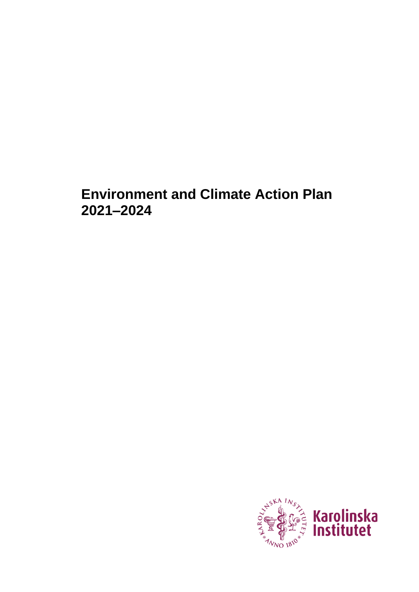# **Environment and Climate Action Plan 2021–2024**

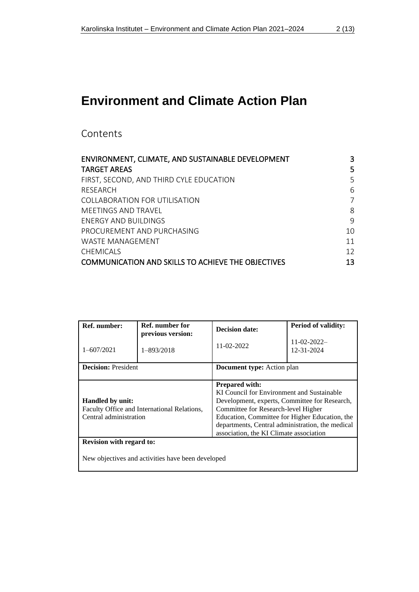# **Environment and Climate Action Plan**

Contents

| ENVIRONMENT, CLIMATE, AND SUSTAINABLE DEVELOPMENT         | 3  |
|-----------------------------------------------------------|----|
| <b>TARGET AREAS</b>                                       | 5  |
| FIRST, SECOND, AND THIRD CYLE EDUCATION                   | 5  |
| RESEARCH                                                  | 6  |
| COLLABORATION FOR UTILISATION                             | 7  |
| MFFTINGS AND TRAVFL                                       | 8  |
| <b>FNERGY AND BUILDINGS</b>                               | 9  |
| PROCUREMENT AND PURCHASING                                | 10 |
| WASTE MANAGEMENT                                          | 11 |
| <b>CHEMICALS</b>                                          | 12 |
| <b>COMMUNICATION AND SKILLS TO ACHIEVE THE OBJECTIVES</b> | 13 |

| Ref. number:                                                                                                                                                                                                                                                                                                                                                                                                     | Ref. number for<br>previous version: | <b>Decision date:</b>      | <b>Period of validity:</b>       |
|------------------------------------------------------------------------------------------------------------------------------------------------------------------------------------------------------------------------------------------------------------------------------------------------------------------------------------------------------------------------------------------------------------------|--------------------------------------|----------------------------|----------------------------------|
| $1 - 607/2021$                                                                                                                                                                                                                                                                                                                                                                                                   | 1-893/2018                           | 11-02-2022                 | $11 - 02 - 2022 -$<br>12-31-2024 |
| <b>Decision: President</b>                                                                                                                                                                                                                                                                                                                                                                                       |                                      | Document type: Action plan |                                  |
| <b>Prepared with:</b><br>KI Council for Environment and Sustainable<br><b>Handled</b> by unit:<br>Development, experts, Committee for Research,<br>Faculty Office and International Relations,<br>Committee for Research-level Higher<br>Central administration<br>Education, Committee for Higher Education, the<br>departments, Central administration, the medical<br>association, the KI Climate association |                                      |                            |                                  |
| <b>Revision with regard to:</b>                                                                                                                                                                                                                                                                                                                                                                                  |                                      |                            |                                  |
| New objectives and activities have been developed                                                                                                                                                                                                                                                                                                                                                                |                                      |                            |                                  |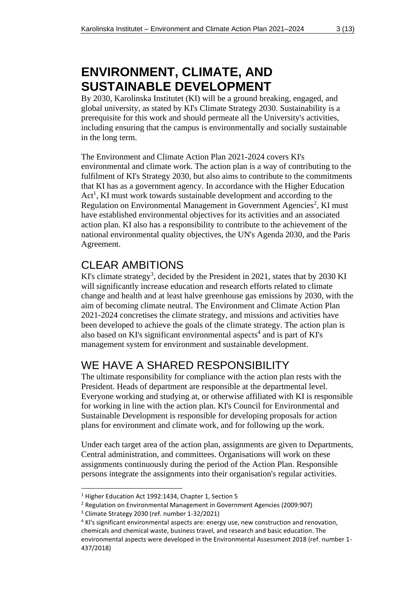# <span id="page-2-0"></span>**ENVIRONMENT, CLIMATE, AND SUSTAINABLE DEVELOPMENT**

By 2030, Karolinska Institutet (KI) will be a ground breaking, engaged, and global university, as stated by KI's Climate Strategy 2030. Sustainability is a prerequisite for this work and should permeate all the University's activities, including ensuring that the campus is environmentally and socially sustainable in the long term.

The Environment and Climate Action Plan 2021-2024 covers KI's environmental and climate work. The action plan is a way of contributing to the fulfilment of KI's Strategy 2030, but also aims to contribute to the commitments that KI has as a government agency. In accordance with the Higher Education Act<sup>1</sup>, KI must work towards sustainable development and according to the Regulation on Environmental Management in Government Agencies<sup>2</sup>, KI must have established environmental objectives for its activities and an associated action plan. KI also has a responsibility to contribute to the achievement of the national environmental quality objectives, the UN's Agenda 2030, and the Paris Agreement.

### CLEAR AMBITIONS

KI's climate strategy<sup>3</sup>, decided by the President in 2021, states that by 2030 KI will significantly increase education and research efforts related to climate change and health and at least halve greenhouse gas emissions by 2030, with the aim of becoming climate neutral. The Environment and Climate Action Plan 2021-2024 concretises the climate strategy, and missions and activities have been developed to achieve the goals of the climate strategy. The action plan is also based on KI's significant environmental aspects<sup>4</sup> and is part of KI's management system for environment and sustainable development.

## WE HAVE A SHARED RESPONSIBILITY

The ultimate responsibility for compliance with the action plan rests with the President. Heads of department are responsible at the departmental level. Everyone working and studying at, or otherwise affiliated with KI is responsible for working in line with the action plan. KI's Council for Environmental and Sustainable Development is responsible for developing proposals for action plans for environment and climate work, and for following up the work.

Under each target area of the action plan, assignments are given to Departments, Central administration, and committees. Organisations will work on these assignments continuously during the period of the Action Plan. Responsible persons integrate the assignments into their organisation's regular activities.

<sup>1</sup> Higher Education Act 1992:1434, Chapter 1, Section 5

<sup>2</sup> Regulation on Environmental Management in Government Agencies (2009:907)

<sup>3</sup> Climate Strategy 2030 (ref. number 1-32/2021)

<sup>4</sup> KI's significant environmental aspects are: energy use, new construction and renovation, chemicals and chemical waste, business travel, and research and basic education. The environmental aspects were developed in the Environmental Assessment 2018 (ref. number 1- 437/2018)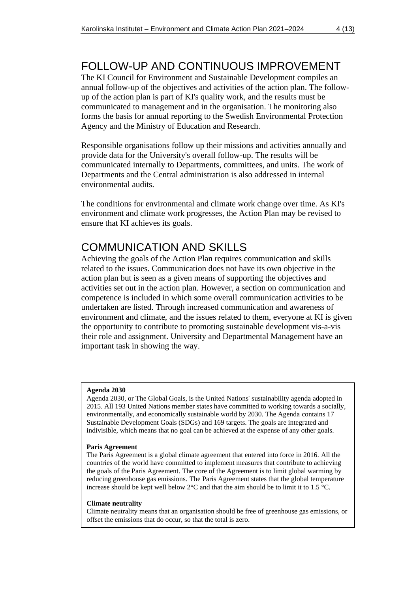### FOLLOW-UP AND CONTINUOUS IMPROVEMENT

The KI Council for Environment and Sustainable Development compiles an annual follow-up of the objectives and activities of the action plan. The followup of the action plan is part of KI's quality work, and the results must be communicated to management and in the organisation. The monitoring also forms the basis for annual reporting to the Swedish Environmental Protection Agency and the Ministry of Education and Research.

Responsible organisations follow up their missions and activities annually and provide data for the University's overall follow-up. The results will be communicated internally to Departments, committees, and units. The work of Departments and the Central administration is also addressed in internal environmental audits.

The conditions for environmental and climate work change over time. As KI's environment and climate work progresses, the Action Plan may be revised to ensure that KI achieves its goals.

### COMMUNICATION AND SKILLS

Achieving the goals of the Action Plan requires communication and skills related to the issues. Communication does not have its own objective in the action plan but is seen as a given means of supporting the objectives and activities set out in the action plan. However, a section on communication and competence is included in which some overall communication activities to be undertaken are listed. Through increased communication and awareness of environment and climate, and the issues related to them, everyone at KI is given the opportunity to contribute to promoting sustainable development vis-a-vis their role and assignment. University and Departmental Management have an important task in showing the way.

#### **Agenda 2030**

Agenda 2030, or The Global Goals, is the United Nations' sustainability agenda adopted in 2015. All 193 United Nations member states have committed to working towards a socially, environmentally, and economically sustainable world by 2030. The Agenda contains 17 Sustainable Development Goals (SDGs) and 169 targets. The goals are integrated and indivisible, which means that no goal can be achieved at the expense of any other goals.

#### **Paris Agreement**

The Paris Agreement is a global climate agreement that entered into force in 2016. All the countries of the world have committed to implement measures that contribute to achieving the goals of the Paris Agreement. The core of the Agreement is to limit global warming by reducing greenhouse gas emissions. The Paris Agreement states that the global temperature increase should be kept well below 2°C and that the aim should be to limit it to 1.5 °C.

#### **Climate neutrality**

Climate neutrality means that an organisation should be free of greenhouse gas emissions, or offset the emissions that do occur, so that the total is zero.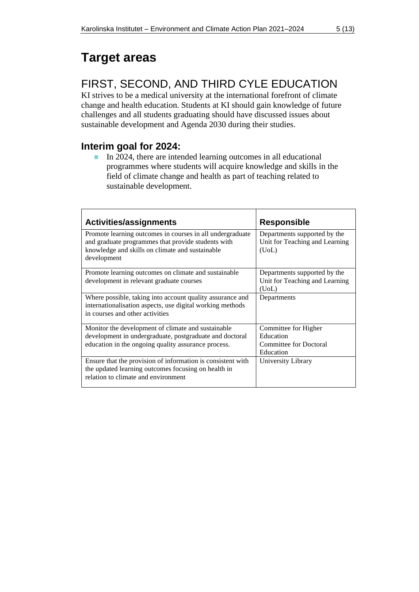# <span id="page-4-0"></span>**Target areas**

## <span id="page-4-1"></span>FIRST, SECOND, AND THIRD CYLE EDUCATION

KI strives to be a medical university at the international forefront of climate change and health education. Students at KI should gain knowledge of future challenges and all students graduating should have discussed issues about sustainable development and Agenda 2030 during their studies.

### **Interim goal for 2024:**

■ In 2024, there are intended learning outcomes in all educational programmes where students will acquire knowledge and skills in the field of climate change and health as part of teaching related to sustainable development.

| <b>Activities/assignments</b>                                                                                                                                                     | <b>Responsible</b>                                                              |
|-----------------------------------------------------------------------------------------------------------------------------------------------------------------------------------|---------------------------------------------------------------------------------|
| Promote learning outcomes in courses in all undergraduate<br>and graduate programmes that provide students with<br>knowledge and skills on climate and sustainable<br>development | Departments supported by the<br>Unit for Teaching and Learning<br>(UoL)         |
| Promote learning outcomes on climate and sustainable<br>development in relevant graduate courses                                                                                  | Departments supported by the<br>Unit for Teaching and Learning<br>(UoL)         |
| Where possible, taking into account quality assurance and<br>internationalisation aspects, use digital working methods<br>in courses and other activities                         | Departments                                                                     |
| Monitor the development of climate and sustainable<br>development in undergraduate, postgraduate and doctoral<br>education in the ongoing quality assurance process.              | Committee for Higher<br>Education<br><b>Committee for Doctoral</b><br>Education |
| Ensure that the provision of information is consistent with<br>the updated learning outcomes focusing on health in<br>relation to climate and environment                         | University Library                                                              |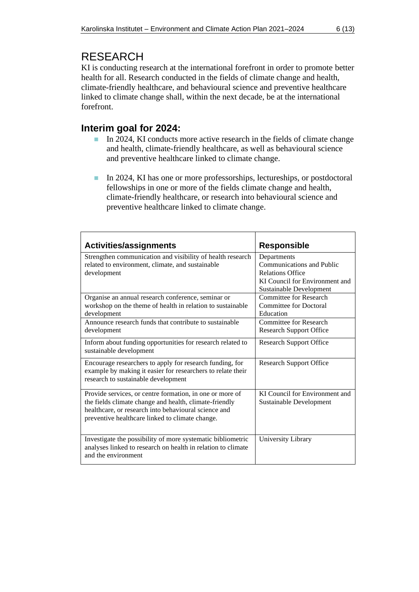### <span id="page-5-0"></span>RESEARCH

KI is conducting research at the international forefront in order to promote better health for all. Research conducted in the fields of climate change and health, climate-friendly healthcare, and behavioural science and preventive healthcare linked to climate change shall, within the next decade, be at the international forefront.

### **Interim goal for 2024:**

- In 2024, KI conducts more active research in the fields of climate change and health, climate-friendly healthcare, as well as behavioural science and preventive healthcare linked to climate change.
- In 2024, KI has one or more professorships, lectureships, or postdoctoral fellowships in one or more of the fields climate change and health, climate-friendly healthcare, or research into behavioural science and preventive healthcare linked to climate change.

| <b>Activities/assignments</b>                                                                                                                                                                                                 | <b>Responsible</b>                                                                                                                      |
|-------------------------------------------------------------------------------------------------------------------------------------------------------------------------------------------------------------------------------|-----------------------------------------------------------------------------------------------------------------------------------------|
| Strengthen communication and visibility of health research<br>related to environment, climate, and sustainable<br>development                                                                                                 | Departments<br><b>Communications and Public</b><br><b>Relations Office</b><br>KI Council for Environment and<br>Sustainable Development |
| Organise an annual research conference, seminar or<br>workshop on the theme of health in relation to sustainable<br>development                                                                                               | Committee for Research<br><b>Committee for Doctoral</b><br>Education                                                                    |
| Announce research funds that contribute to sustainable<br>development                                                                                                                                                         | <b>Committee for Research</b><br><b>Research Support Office</b>                                                                         |
| Inform about funding opportunities for research related to<br>sustainable development                                                                                                                                         | <b>Research Support Office</b>                                                                                                          |
| Encourage researchers to apply for research funding, for<br>example by making it easier for researchers to relate their<br>research to sustainable development                                                                | <b>Research Support Office</b>                                                                                                          |
| Provide services, or centre formation, in one or more of<br>the fields climate change and health, climate-friendly<br>healthcare, or research into behavioural science and<br>preventive healthcare linked to climate change. | KI Council for Environment and<br>Sustainable Development                                                                               |
| Investigate the possibility of more systematic bibliometric<br>analyses linked to research on health in relation to climate<br>and the environment                                                                            | University Library                                                                                                                      |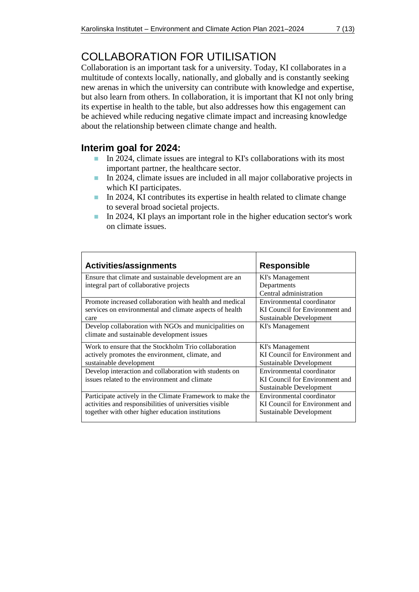## <span id="page-6-0"></span>COLLABORATION FOR UTILISATION

Collaboration is an important task for a university. Today, KI collaborates in a multitude of contexts locally, nationally, and globally and is constantly seeking new arenas in which the university can contribute with knowledge and expertise, but also learn from others. In collaboration, it is important that KI not only bring its expertise in health to the table, but also addresses how this engagement can be achieved while reducing negative climate impact and increasing knowledge about the relationship between climate change and health.

### **Interim goal for 2024:**

- In 2024, climate issues are integral to KI's collaborations with its most important partner, the healthcare sector.
- In 2024, climate issues are included in all major collaborative projects in which KI participates.
- In 2024, KI contributes its expertise in health related to climate change to several broad societal projects.
- In 2024, KI plays an important role in the higher education sector's work on climate issues.

| Activities/assignments                                    | <b>Responsible</b>             |
|-----------------------------------------------------------|--------------------------------|
| Ensure that climate and sustainable development are an    | KI's Management                |
| integral part of collaborative projects                   | Departments                    |
|                                                           | Central administration         |
| Promote increased collaboration with health and medical   | Environmental coordinator      |
| services on environmental and climate aspects of health   | KI Council for Environment and |
| care                                                      | Sustainable Development        |
| Develop collaboration with NGOs and municipalities on     | KI's Management                |
| climate and sustainable development issues                |                                |
| Work to ensure that the Stockholm Trio collaboration      | KI's Management                |
| actively promotes the environment, climate, and           | KI Council for Environment and |
| sustainable development                                   | Sustainable Development        |
| Develop interaction and collaboration with students on    | Environmental coordinator      |
| issues related to the environment and climate             | KI Council for Environment and |
|                                                           | Sustainable Development        |
| Participate actively in the Climate Framework to make the | Environmental coordinator      |
| activities and responsibilities of universities visible   | KI Council for Environment and |
| together with other higher education institutions         | Sustainable Development        |
|                                                           |                                |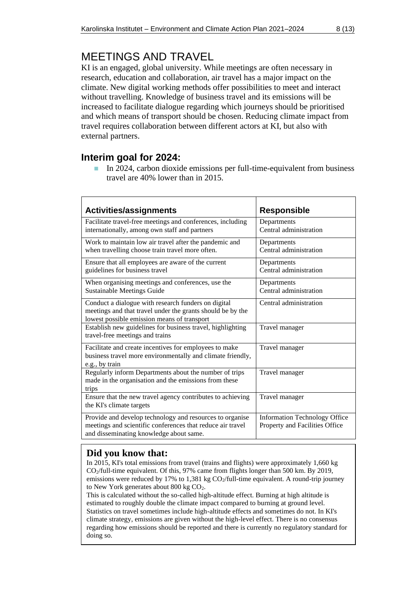### <span id="page-7-0"></span>MEETINGS AND TRAVEL

KI is an engaged, global university. While meetings are often necessary in research, education and collaboration, air travel has a major impact on the climate. New digital working methods offer possibilities to meet and interact without travelling. Knowledge of business travel and its emissions will be increased to facilitate dialogue regarding which journeys should be prioritised and which means of transport should be chosen. Reducing climate impact from travel requires collaboration between different actors at KI, but also with external partners.

### **Interim goal for 2024:**

■ In 2024, carbon dioxide emissions per full-time-equivalent from business travel are 40% lower than in 2015.

| <b>Activities/assignments</b>                                                                                                                                     | <b>Responsible</b>                                                     |
|-------------------------------------------------------------------------------------------------------------------------------------------------------------------|------------------------------------------------------------------------|
| Facilitate travel-free meetings and conferences, including<br>internationally, among own staff and partners                                                       | Departments<br>Central administration                                  |
| Work to maintain low air travel after the pandemic and<br>when travelling choose train travel more often.                                                         | Departments<br>Central administration                                  |
| Ensure that all employees are aware of the current<br>guidelines for business travel                                                                              | Departments<br>Central administration                                  |
| When organising meetings and conferences, use the<br><b>Sustainable Meetings Guide</b>                                                                            | Departments<br>Central administration                                  |
| Conduct a dialogue with research funders on digital<br>meetings and that travel under the grants should be by the<br>lowest possible emission means of transport  | Central administration                                                 |
| Establish new guidelines for business travel, highlighting<br>travel-free meetings and trains                                                                     | Travel manager                                                         |
| Facilitate and create incentives for employees to make<br>business travel more environmentally and climate friendly,<br>e.g., by train                            | Travel manager                                                         |
| Regularly inform Departments about the number of trips<br>made in the organisation and the emissions from these<br>trips                                          | Travel manager                                                         |
| Ensure that the new travel agency contributes to achieving<br>the KI's climate targets                                                                            | Travel manager                                                         |
| Provide and develop technology and resources to organise<br>meetings and scientific conferences that reduce air travel<br>and disseminating knowledge about same. | <b>Information Technology Office</b><br>Property and Facilities Office |

#### **Did you know that:**

In 2015, KI's total emissions from travel (trains and flights) were approximately 1,660 kg CO2/full-time equivalent. Of this, 97% came from flights longer than 500 km. By 2019, emissions were reduced by 17% to 1,381 kg  $CO_2$ /full-time equivalent. A round-trip journey to New York generates about 800 kg CO<sub>2</sub>.

This is calculated without the so-called high-altitude effect. Burning at high altitude is estimated to roughly double the climate impact compared to burning at ground level. Statistics on travel sometimes include high-altitude effects and sometimes do not. In KI's climate strategy, emissions are given without the high-level effect. There is no consensus regarding how emissions should be reported and there is currently no regulatory standard for doing so.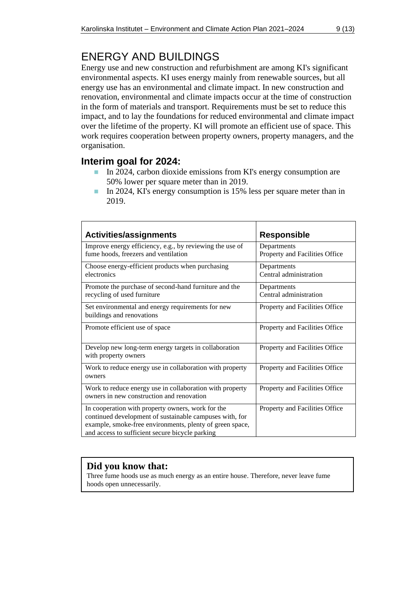# <span id="page-8-0"></span>ENERGY AND BUILDINGS

Energy use and new construction and refurbishment are among KI's significant environmental aspects. KI uses energy mainly from renewable sources, but all energy use has an environmental and climate impact. In new construction and renovation, environmental and climate impacts occur at the time of construction in the form of materials and transport. Requirements must be set to reduce this impact, and to lay the foundations for reduced environmental and climate impact over the lifetime of the property. KI will promote an efficient use of space. This work requires cooperation between property owners, property managers, and the organisation.

#### **Interim goal for 2024:**

- In 2024, carbon dioxide emissions from KI's energy consumption are 50% lower per square meter than in 2019.
- In 2024, KI's energy consumption is 15% less per square meter than in 2019.

| <b>Activities/assignments</b>                                                                                                                                                                                               | <b>Responsible</b>                            |
|-----------------------------------------------------------------------------------------------------------------------------------------------------------------------------------------------------------------------------|-----------------------------------------------|
| Improve energy efficiency, e.g., by reviewing the use of<br>fume hoods, freezers and ventilation                                                                                                                            | Departments<br>Property and Facilities Office |
| Choose energy-efficient products when purchasing<br>electronics                                                                                                                                                             | Departments<br>Central administration         |
| Promote the purchase of second-hand furniture and the<br>recycling of used furniture                                                                                                                                        | Departments<br>Central administration         |
| Set environmental and energy requirements for new<br>buildings and renovations                                                                                                                                              | Property and Facilities Office                |
| Promote efficient use of space                                                                                                                                                                                              | Property and Facilities Office                |
| Develop new long-term energy targets in collaboration<br>with property owners                                                                                                                                               | Property and Facilities Office                |
| Work to reduce energy use in collaboration with property<br>owners                                                                                                                                                          | Property and Facilities Office                |
| Work to reduce energy use in collaboration with property<br>owners in new construction and renovation                                                                                                                       | Property and Facilities Office                |
| In cooperation with property owners, work for the<br>continued development of sustainable campuses with, for<br>example, smoke-free environments, plenty of green space,<br>and access to sufficient secure bicycle parking | Property and Facilities Office                |

#### **Did you know that:**

Three fume hoods use as much energy as an entire house. Therefore, never leave fume hoods open unnecessarily.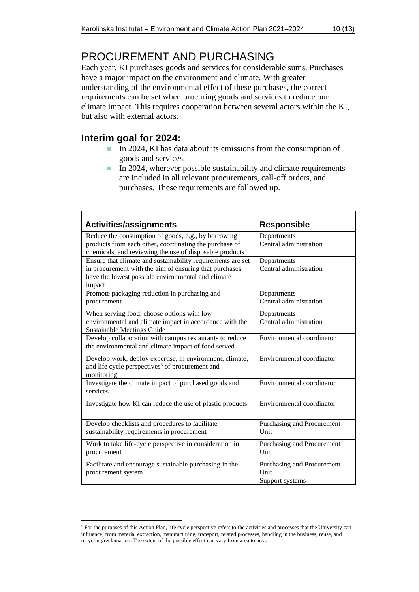### <span id="page-9-0"></span>PROCUREMENT AND PURCHASING

Each year, KI purchases goods and services for considerable sums. Purchases have a major impact on the environment and climate. With greater understanding of the environmental effect of these purchases, the correct requirements can be set when procuring goods and services to reduce our climate impact. This requires cooperation between several actors within the KI, but also with external actors.

### **Interim goal for 2024:**

- In 2024, KI has data about its emissions from the consumption of goods and services.
- $\blacksquare$  In 2024, wherever possible sustainability and climate requirements are included in all relevant procurements, call-off orders, and purchases. These requirements are followed up.

| <b>Activities/assignments</b>                                                                                                                                                         | <b>Responsible</b>                                    |
|---------------------------------------------------------------------------------------------------------------------------------------------------------------------------------------|-------------------------------------------------------|
| Reduce the consumption of goods, e.g., by borrowing<br>products from each other, coordinating the purchase of<br>chemicals, and reviewing the use of disposable products              | Departments<br>Central administration                 |
| Ensure that climate and sustainability requirements are set<br>in procurement with the aim of ensuring that purchases<br>have the lowest possible environmental and climate<br>impact | Departments<br>Central administration                 |
| Promote packaging reduction in purchasing and<br>procurement                                                                                                                          | Departments<br>Central administration                 |
| When serving food, choose options with low<br>environmental and climate impact in accordance with the<br><b>Sustainable Meetings Guide</b>                                            | Departments<br>Central administration                 |
| Develop collaboration with campus restaurants to reduce<br>the environmental and climate impact of food served                                                                        | Environmental coordinator                             |
| Develop work, deploy expertise, in environment, climate,<br>and life cycle perspectives <sup>5</sup> of procurement and<br>monitoring                                                 | Environmental coordinator                             |
| Investigate the climate impact of purchased goods and<br>services                                                                                                                     | Environmental coordinator                             |
| Investigate how KI can reduce the use of plastic products                                                                                                                             | Environmental coordinator                             |
| Develop checklists and procedures to facilitate<br>sustainability requirements in procurement                                                                                         | Purchasing and Procurement<br>Unit                    |
| Work to take life-cycle perspective in consideration in<br>procurement                                                                                                                | Purchasing and Procurement<br>Unit                    |
| Facilitate and encourage sustainable purchasing in the<br>procurement system                                                                                                          | Purchasing and Procurement<br>Unit<br>Support systems |

<sup>&</sup>lt;sup>5</sup> For the purposes of this Action Plan, life cycle perspective refers to the activities and processes that the University can influence; from material extraction, manufacturing, transport, related processes, handling in the business, reuse, and recycling/reclamation. The extent of the possible effect can vary from area to area.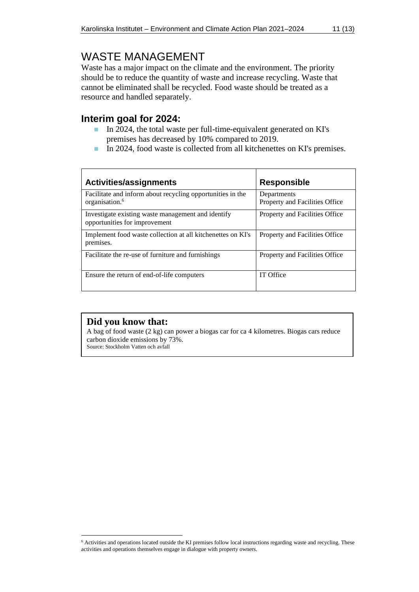### <span id="page-10-0"></span>WASTE MANAGEMENT

Waste has a major impact on the climate and the environment. The priority should be to reduce the quantity of waste and increase recycling. Waste that cannot be eliminated shall be recycled. Food waste should be treated as a resource and handled separately.

#### **Interim goal for 2024:**

- In 2024, the total waste per full-time-equivalent generated on KI's premises has decreased by 10% compared to 2019.
- In 2024, food waste is collected from all kitchenettes on KI's premises.

| <b>Activities/assignments</b>                                                            | <b>Responsible</b>                            |
|------------------------------------------------------------------------------------------|-----------------------------------------------|
| Facilitate and inform about recycling opportunities in the<br>organisation. <sup>6</sup> | Departments<br>Property and Facilities Office |
| Investigate existing waste management and identify<br>opportunities for improvement      | Property and Facilities Office                |
| Implement food waste collection at all kitchenettes on KI's<br>premises.                 | Property and Facilities Office                |
| Facilitate the re-use of furniture and furnishings                                       | Property and Facilities Office                |
| Ensure the return of end-of-life computers                                               | IT Office                                     |

#### **Did you know that:**

A bag of food waste (2 kg) can power a biogas car for ca 4 kilometres. Biogas cars reduce carbon dioxide emissions by 73%.

Source: Stockholm Vatten och avfall

<sup>6</sup> Activities and operations located outside the KI premises follow local instructions regarding waste and recycling. These activities and operations themselves engage in dialogue with property owners.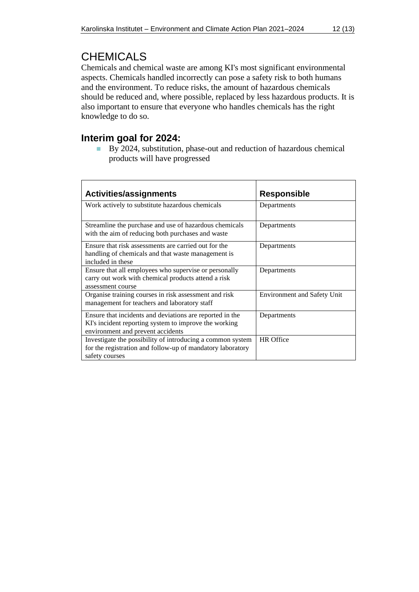### <span id="page-11-0"></span>**CHEMICALS**

Chemicals and chemical waste are among KI's most significant environmental aspects. Chemicals handled incorrectly can pose a safety risk to both humans and the environment. To reduce risks, the amount of hazardous chemicals should be reduced and, where possible, replaced by less hazardous products. It is also important to ensure that everyone who handles chemicals has the right knowledge to do so.

#### **Interim goal for 2024:**

■ By 2024, substitution, phase-out and reduction of hazardous chemical products will have progressed

| <b>Activities/assignments</b>                                                                                                                          | <b>Responsible</b>                 |
|--------------------------------------------------------------------------------------------------------------------------------------------------------|------------------------------------|
| Work actively to substitute hazardous chemicals                                                                                                        | Departments                        |
| Streamline the purchase and use of hazardous chemicals<br>with the aim of reducing both purchases and waste                                            | Departments                        |
| Ensure that risk assessments are carried out for the<br>handling of chemicals and that waste management is<br>included in these                        | Departments                        |
| Ensure that all employees who supervise or personally<br>carry out work with chemical products attend a risk<br>assessment course                      | Departments                        |
| Organise training courses in risk assessment and risk<br>management for teachers and laboratory staff                                                  | <b>Environment and Safety Unit</b> |
| Ensure that incidents and deviations are reported in the<br>KI's incident reporting system to improve the working<br>environment and prevent accidents | Departments                        |
| Investigate the possibility of introducing a common system<br>for the registration and follow-up of mandatory laboratory<br>safety courses             | <b>HR</b> Office                   |